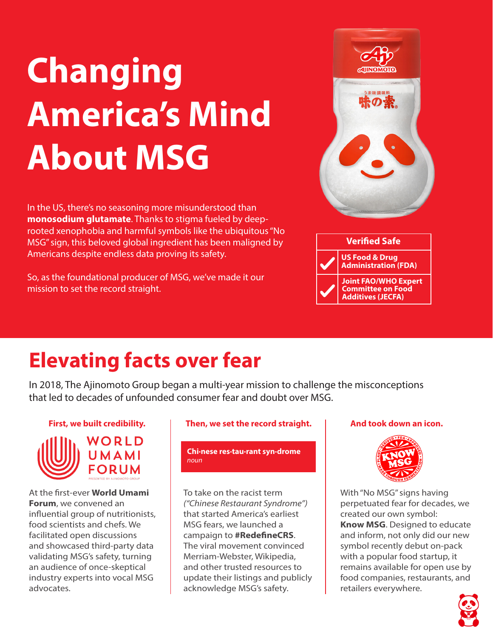# **Changing America's Mind About MSG**

In the US, there's no seasoning more misunderstood than **monosodium glutamate**. Thanks to stigma fueled by deeprooted xenophobia and harmful symbols like the ubiquitous "No MSG" sign, this beloved global ingredient has been maligned by Americans despite endless data proving its safety.

So, as the foundational producer of MSG, we've made it our mission to set the record straight.



## **Elevating facts over fear**

In 2018, The Ajinomoto Group began a multi-year mission to challenge the misconceptions that led to decades of unfounded consumer fear and doubt over MSG.

#### **First, we built credibility.**



At the first-ever **World Umami Forum**, we convened an influential group of nutritionists, food scientists and chefs. We facilitated open discussions and showcased third-party data validating MSG's safety, turning an audience of once-skeptical industry experts into vocal MSG advocates.

#### **Then, we set the record straight.**

**Chi·nese res·tau·rant syn·drome** *noun*

To take on the racist term *("Chinese Restaurant Syndrome")*  that started America's earliest MSG fears, we launched a campaign to **#RedefineCRS**. The viral movement convinced Merriam-Webster, Wikipedia, and other trusted resources to update their listings and publicly acknowledge MSG's safety.

#### **And took down an icon.**



With "No MSG" signs having perpetuated fear for decades, we created our own symbol: **Know MSG**. Designed to educate and inform, not only did our new symbol recently debut on-pack with a popular food startup, it remains available for open use by food companies, restaurants, and retailers everywhere.